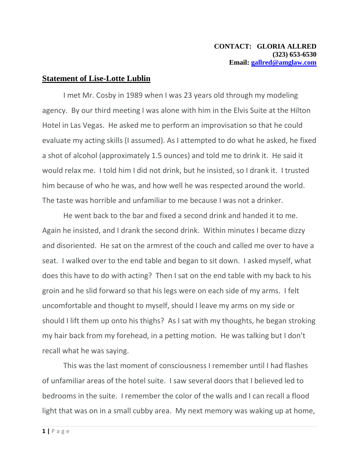## **Statement of Lise-Lotte Lublin**

I met Mr. Cosby in 1989 when I was 23 years old through my modeling agency. By our third meeting I was alone with him in the Elvis Suite at the Hilton Hotel in Las Vegas. He asked me to perform an improvisation so that he could evaluate my acting skills (I assumed). As I attempted to do what he asked, he fixed a shot of alcohol (approximately 1.5 ounces) and told me to drink it. He said it would relax me. I told him I did not drink, but he insisted, so I drank it. I trusted him because of who he was, and how well he was respected around the world. The taste was horrible and unfamiliar to me because I was not a drinker.

He went back to the bar and fixed a second drink and handed it to me. Again he insisted, and I drank the second drink. Within minutes I became dizzy and disoriented. He sat on the armrest of the couch and called me over to have a seat. I walked over to the end table and began to sit down. I asked myself, what does this have to do with acting? Then I sat on the end table with my back to his groin and he slid forward so that his legs were on each side of my arms. I felt uncomfortable and thought to myself, should I leave my arms on my side or should I lift them up onto his thighs? As I sat with my thoughts, he began stroking my hair back from my forehead, in a petting motion. He was talking but I don't recall what he was saying.

This was the last moment of consciousness I remember until I had flashes of unfamiliar areas of the hotel suite. I saw several doors that I believed led to bedrooms in the suite. I remember the color of the walls and I can recall a flood light that was on in a small cubby area. My next memory was waking up at home,